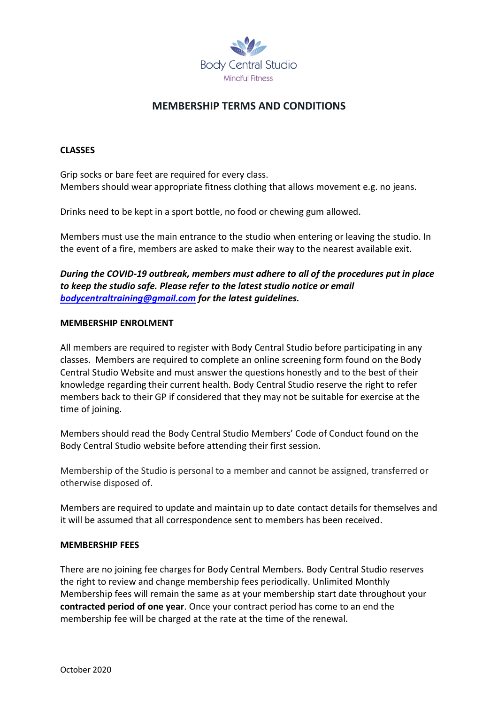

# **MEMBERSHIP TERMS AND CONDITIONS**

## **CLASSES**

Grip socks or bare feet are required for every class. Members should wear appropriate fitness clothing that allows movement e.g. no jeans.

Drinks need to be kept in a sport bottle, no food or chewing gum allowed.

Members must use the main entrance to the studio when entering or leaving the studio. In the event of a fire, members are asked to make their way to the nearest available exit.

*During the COVID-19 outbreak, members must adhere to all of the procedures put in place to keep the studio safe. Please refer to the latest studio notice or email [bodycentraltraining@gmail.com](mailto:bodycentraltraining@gmail.com) for the latest guidelines.* 

#### **MEMBERSHIP ENROLMENT**

All members are required to register with Body Central Studio before participating in any classes. Members are required to complete an online screening form found on the Body Central Studio Website and must answer the questions honestly and to the best of their knowledge regarding their current health. Body Central Studio reserve the right to refer members back to their GP if considered that they may not be suitable for exercise at the time of joining.

Members should read the Body Central Studio Members' Code of Conduct found on the Body Central Studio website before attending their first session.

Membership of the Studio is personal to a member and cannot be assigned, transferred or otherwise disposed of.

Members are required to update and maintain up to date contact details for themselves and it will be assumed that all correspondence sent to members has been received.

#### **MEMBERSHIP FEES**

There are no joining fee charges for Body Central Members. Body Central Studio reserves the right to review and change membership fees periodically. Unlimited Monthly Membership fees will remain the same as at your membership start date throughout your **contracted period of one year**. Once your contract period has come to an end the membership fee will be charged at the rate at the time of the renewal.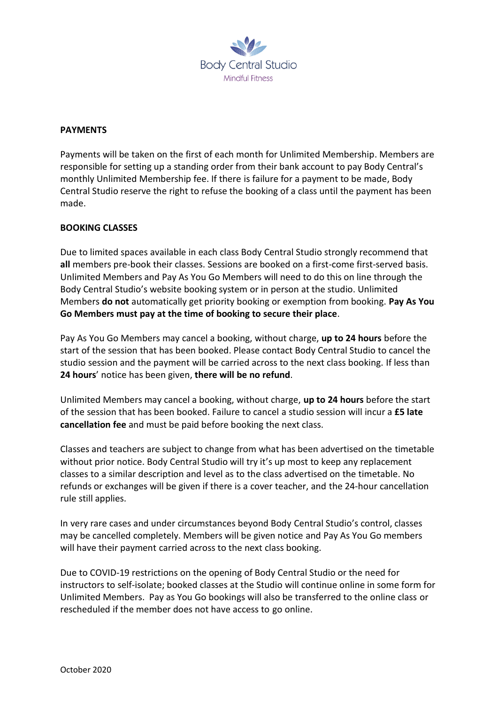

### **PAYMENTS**

Payments will be taken on the first of each month for Unlimited Membership. Members are responsible for setting up a standing order from their bank account to pay Body Central's monthly Unlimited Membership fee. If there is failure for a payment to be made, Body Central Studio reserve the right to refuse the booking of a class until the payment has been made.

# **BOOKING CLASSES**

Due to limited spaces available in each class Body Central Studio strongly recommend that **all** members pre-book their classes. Sessions are booked on a first-come first-served basis. Unlimited Members and Pay As You Go Members will need to do this on line through the Body Central Studio's website booking system or in person at the studio. Unlimited Members **do not** automatically get priority booking or exemption from booking. **Pay As You Go Members must pay at the time of booking to secure their place**.

Pay As You Go Members may cancel a booking, without charge, **up to 24 hours** before the start of the session that has been booked. Please contact Body Central Studio to cancel the studio session and the payment will be carried across to the next class booking. If less than **24 hours**' notice has been given, **there will be no refund**.

Unlimited Members may cancel a booking, without charge, **up to 24 hours** before the start of the session that has been booked. Failure to cancel a studio session will incur a **£5 late cancellation fee** and must be paid before booking the next class.

Classes and teachers are subject to change from what has been advertised on the timetable without prior notice. Body Central Studio will try it's up most to keep any replacement classes to a similar description and level as to the class advertised on the timetable. No refunds or exchanges will be given if there is a cover teacher, and the 24-hour cancellation rule still applies.

In very rare cases and under circumstances beyond Body Central Studio's control, classes may be cancelled completely. Members will be given notice and Pay As You Go members will have their payment carried across to the next class booking.

Due to COVID-19 restrictions on the opening of Body Central Studio or the need for instructors to self-isolate; booked classes at the Studio will continue online in some form for Unlimited Members. Pay as You Go bookings will also be transferred to the online class or rescheduled if the member does not have access to go online.